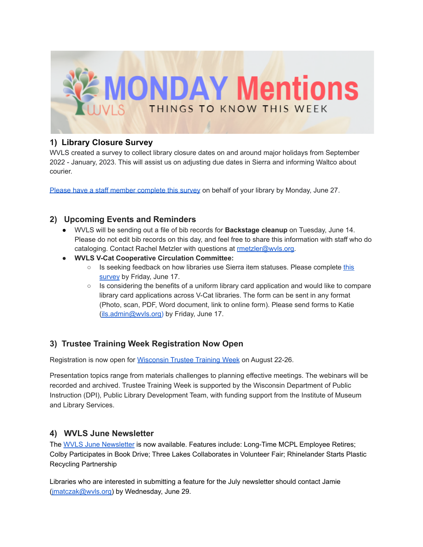

# **1) Library Closure Survey**

WVLS created a survey to collect library closure dates on and around major holidays from September 2022 - January, 2023. This will assist us on adjusting due dates in Sierra and informing Waltco about courier.

Please have a staff member [complete](https://docs.google.com/forms/d/1DReAqnCg3aaw5p275AM61H5ty6hpbGdXrqKFD4jE_bU/edit) this survey on behalf of your library by Monday, June 27.

## **2) Upcoming Events and Reminders**

- WVLS will be sending out a file of bib records for **Backstage cleanup** on Tuesday, June 14. Please do not edit bib records on this day, and feel free to share this information with staff who do cataloging. Contact Rachel Metzler with questions at [rmetzler@wvls.org.](mailto:rmetzler@wvls.org)
- **● WVLS V-Cat Cooperative Circulation Committee:**
	- Is seeking feedback on how libraries use Sierra item statuses. Please complete [this](https://docs.google.com/forms/d/e/1FAIpQLSfMV-SvvGy8o41DSBQa9jf0Jf3r7RPIk3jmAL7s6wGRxm1gmg/viewform?usp=sf_link) [survey](https://docs.google.com/forms/d/e/1FAIpQLSfMV-SvvGy8o41DSBQa9jf0Jf3r7RPIk3jmAL7s6wGRxm1gmg/viewform?usp=sf_link) by Friday, June 17.
	- Is considering the benefits of a uniform library card application and would like to compare library card applications across V-Cat libraries. The form can be sent in any format (Photo, scan, PDF, Word document, link to online form). Please send forms to Katie [\(ils.admin@wvls.org\)](mailto:ils.admin@wvls.org) by Friday, June 17.

## **3) Trustee Training Week Registration Now Open**

Registration is now open for [Wisconsin](https://www.wistrusteetraining.com/) Trustee Training Week on August 22-26.

Presentation topics range from materials challenges to planning effective meetings. The webinars will be recorded and archived. Trustee Training Week is supported by the Wisconsin Department of Public Instruction (DPI), Public Library Development Team, with funding support from the Institute of Museum and Library Services.

#### **4) WVLS June Newsletter**

The WVLS June [Newsletter](https://mailchi.mp/5d527bcfd10c/wvls-june22-newsletter-6094857) is now available. Features include: Long-Time MCPL Employee Retires; Colby Participates in Book Drive; Three Lakes Collaborates in Volunteer Fair; Rhinelander Starts Plastic Recycling Partnership

Libraries who are interested in submitting a feature for the July newsletter should contact Jamie [\(jmatczak@wvls.org\)](mailto:jmatczak@wvls.org) by Wednesday, June 29.